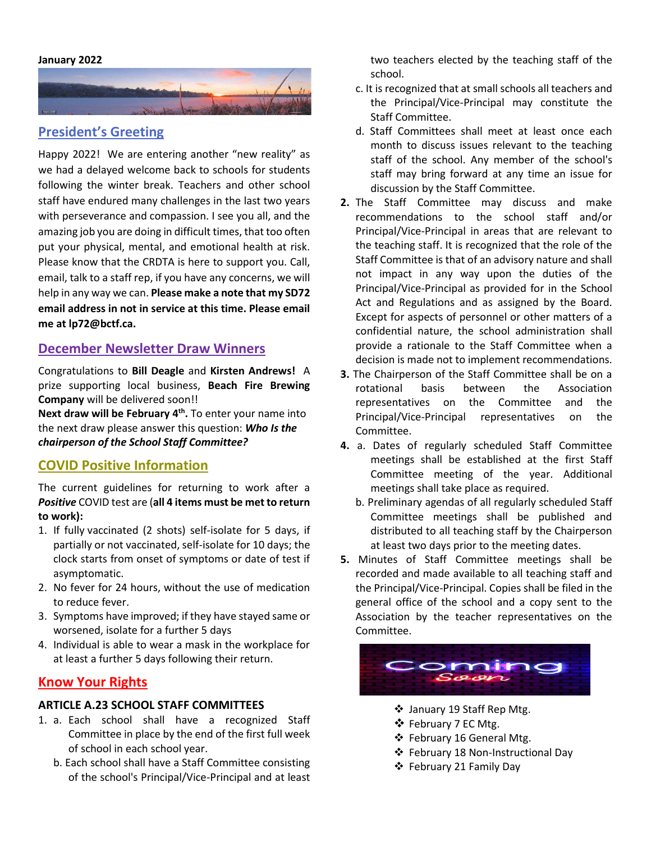#### **January 2022**



## **President's Greeting**

Happy 2022! We are entering another "new reality" as we had a delayed welcome back to schools for students following the winter break. Teachers and other school staff have endured many challenges in the last two years with perseverance and compassion. I see you all, and the amazing job you are doing in difficult times, that too often put your physical, mental, and emotional health at risk. Please know that the CRDTA is here to support you. Call, email, talk to a staff rep, if you have any concerns, we will help in any way we can. **Please make a note that my SD72 email address in not in service at this time. Please email me at lp72@bctf.ca.**

#### **December Newsletter Draw Winners**

Congratulations to **Bill Deagle** and **Kirsten Andrews!** A prize supporting local business, **Beach Fire Brewing Company** will be delivered soon!!

**Next draw will be February 4 th .** To enter your name into the next draw please answer this question: *Who Is the chairperson of the School Staff Committee?*

#### **COVID Positive Information**

The current guidelines for returning to work after a *Positive* COVID test are (**all 4 items must be met to return to work):**

- 1. If fully vaccinated (2 shots) self-isolate for 5 days, if partially or not vaccinated, self-isolate for 10 days; the clock starts from onset of symptoms or date of test if asymptomatic.
- 2. No fever for 24 hours, without the use of medication to reduce fever.
- 3. Symptoms have improved; if they have stayed same or worsened, isolate for a further 5 days
- 4. Individual is able to wear a mask in the workplace for at least a further 5 days following their return.

### **Know Your Rights**

#### **ARTICLE A.23 SCHOOL STAFF COMMITTEES**

- 1. a. Each school shall have a recognized Staff Committee in place by the end of the first full week of school in each school year.
	- b. Each school shall have a Staff Committee consisting of the school's Principal/Vice-Principal and at least

two teachers elected by the teaching staff of the school.

- c. It is recognized that at small schools all teachers and the Principal/Vice-Principal may constitute the Staff Committee.
- d. Staff Committees shall meet at least once each month to discuss issues relevant to the teaching staff of the school. Any member of the school's staff may bring forward at any time an issue for discussion by the Staff Committee.
- **2.** The Staff Committee may discuss and make recommendations to the school staff and/or Principal/Vice-Principal in areas that are relevant to the teaching staff. It is recognized that the role of the Staff Committee is that of an advisory nature and shall not impact in any way upon the duties of the Principal/Vice-Principal as provided for in the School Act and Regulations and as assigned by the Board. Except for aspects of personnel or other matters of a confidential nature, the school administration shall provide a rationale to the Staff Committee when a decision is made not to implement recommendations.
- **3.** The Chairperson of the Staff Committee shall be on a rotational basis between the Association representatives on the Committee and the Principal/Vice-Principal representatives on the Committee.
- **4.** a. Dates of regularly scheduled Staff Committee meetings shall be established at the first Staff Committee meeting of the year. Additional meetings shall take place as required.
	- b. Preliminary agendas of all regularly scheduled Staff Committee meetings shall be published and distributed to all teaching staff by the Chairperson at least two days prior to the meeting dates.
- **5.** Minutes of Staff Committee meetings shall be recorded and made available to all teaching staff and the Principal/Vice-Principal. Copies shall be filed in the general office of the school and a copy sent to the Association by the teacher representatives on the Committee.



- ❖ January 19 Staff Rep Mtg.
- ❖ February 7 EC Mtg.
- ❖ February 16 General Mtg.
- ❖ February 18 Non-Instructional Day
- ❖ February 21 Family Day